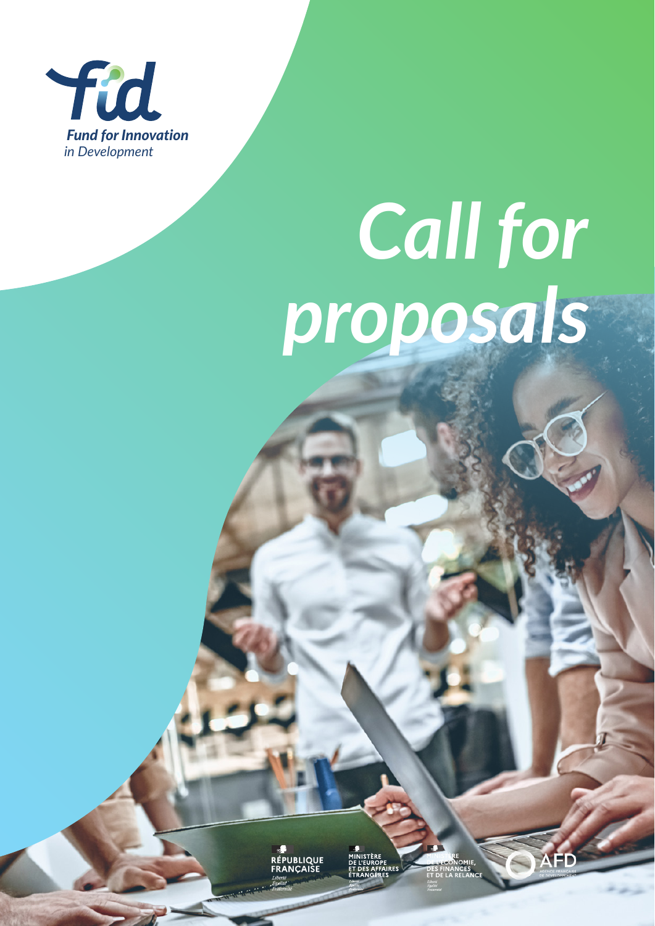

# *Call for proposals*

<del>r</del><br>PUBLIQUE<br>ANCAISE

 $\sim$ 

**SFD**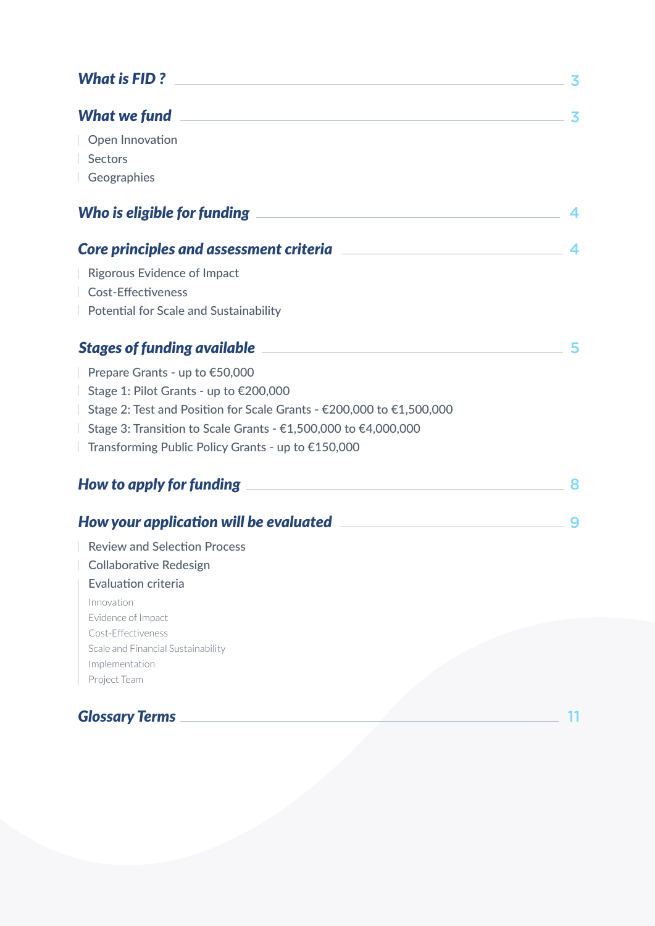| What is FID?<br><u> 1980 - Jan Barbara, martxa al II-lea (h. 1980).</u><br>3                                                                                                                                                              |  |
|-------------------------------------------------------------------------------------------------------------------------------------------------------------------------------------------------------------------------------------------|--|
| What we fund <u>the contract of the contract of the contract of the contract of the contract of the contract of the contract of the contract of the contract of the contract of the contract of the contract of the contract of </u><br>3 |  |
| Open Innovation                                                                                                                                                                                                                           |  |
| <b>Sectors</b>                                                                                                                                                                                                                            |  |
| Geographies                                                                                                                                                                                                                               |  |
| Who is eligible for funding                                                                                                                                                                                                               |  |
| 4                                                                                                                                                                                                                                         |  |
| <b>Rigorous Evidence of Impact</b>                                                                                                                                                                                                        |  |
| <b>Cost-Effectiveness</b>                                                                                                                                                                                                                 |  |
| <b>Potential for Scale and Sustainability</b>                                                                                                                                                                                             |  |
| <b>Stages of funding available</b><br><u> 1989 - Johann Barn, mars et al. 1989 - Anna ann an t-Anna ann an t-Anna ann an t-Anna ann an t-Anna ann an t-</u><br>5                                                                          |  |
| Prepare Grants - up to €50,000                                                                                                                                                                                                            |  |
| Stage 1: Pilot Grants - up to €200,000                                                                                                                                                                                                    |  |
| Stage 2: Test and Position for Scale Grants - €200,000 to €1,500,000                                                                                                                                                                      |  |
| Stage 3: Transition to Scale Grants - €1,500,000 to €4,000,000                                                                                                                                                                            |  |
| Transforming Public Policy Grants - up to €150,000                                                                                                                                                                                        |  |
|                                                                                                                                                                                                                                           |  |
| How your application will be evaluated <b>with a set of the contract of the set of the set of the set of the set o</b><br>9                                                                                                               |  |
| <b>Review and Selection Process</b>                                                                                                                                                                                                       |  |
| <b>Collaborative Redesign</b>                                                                                                                                                                                                             |  |
| <b>Evaluation criteria</b>                                                                                                                                                                                                                |  |
| Innovation                                                                                                                                                                                                                                |  |
| Evidence of Impact<br>Cost-Effectiveness                                                                                                                                                                                                  |  |
| Scale and Financial Sustainability                                                                                                                                                                                                        |  |
| Implementation                                                                                                                                                                                                                            |  |
| Project Team                                                                                                                                                                                                                              |  |
| <b>Glossary Terms</b>                                                                                                                                                                                                                     |  |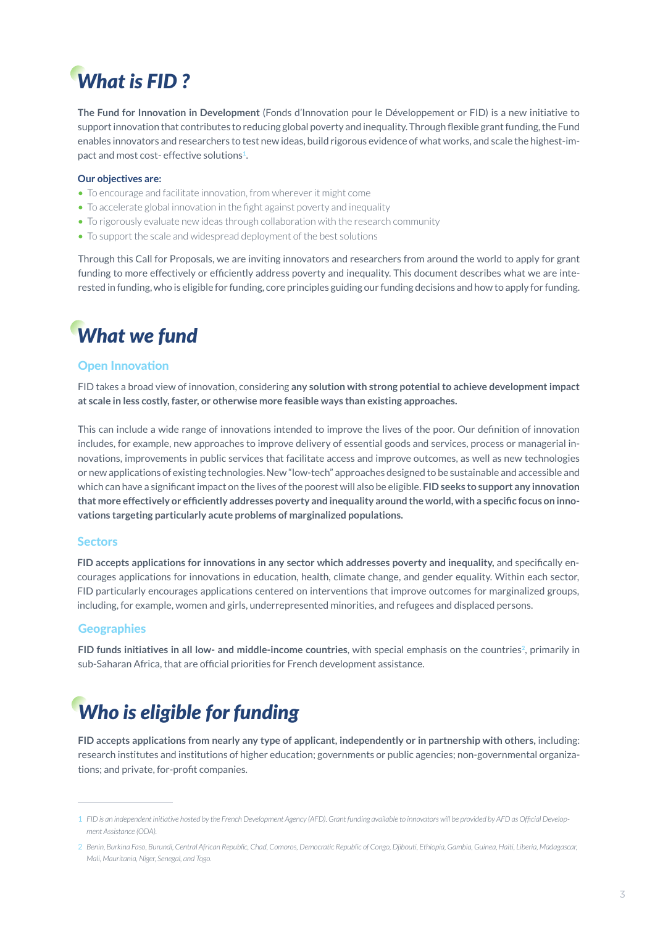# *What is FID ?*

**The Fund for Innovation in Development** (Fonds d'Innovation pour le Développement or FID) is a new initiative to support innovation that contributes to reducing global poverty and inequality. Through flexible grant funding, the Fund enables innovators and researchers to test new ideas, build rigorous evidence of what works, and scale the highest-impact and most cost- effective solutions**1**.

#### **Our objectives are:**

- To encourage and facilitate innovation, from wherever it might come
- To accelerate global innovation in the fight against poverty and inequality
- To rigorously evaluate new ideas through collaboration with the research community
- To support the scale and widespread deployment of the best solutions

Through this Call for Proposals, we are inviting innovators and researchers from around the world to apply for grant funding to more effectively or efficiently address poverty and inequality. This document describes what we are interested in funding, who is eligible for funding, core principles guiding our funding decisions and how to apply for funding.

# *What we fund*

#### Open Innovation

FID takes a broad view of innovation, considering **any solution with strong potential to achieve development impact at scale in less costly, faster, or otherwise more feasible ways than existing approaches.**

This can include a wide range of innovations intended to improve the lives of the poor. Our definition of innovation includes, for example, new approaches to improve delivery of essential goods and services, process or managerial innovations, improvements in public services that facilitate access and improve outcomes, as well as new technologies or new applications of existing technologies. New "low-tech" approaches designed to be sustainable and accessible and which can have a significant impact on the lives of the poorest will also be eligible. **FID seeks to support any innovation that more effectively or efficiently addresses poverty and inequality around the world, with a specific focus on innovations targeting particularly acute problems of marginalized populations.**

#### **Sectors**

**FID accepts applications for innovations in any sector which addresses poverty and inequality,** and specifically encourages applications for innovations in education, health, climate change, and gender equality. Within each sector, FID particularly encourages applications centered on interventions that improve outcomes for marginalized groups, including, for example, women and girls, underrepresented minorities, and refugees and displaced persons.

#### **Geographies**

**FID funds initiatives in all low- and middle-income countries, with special emphasis on the countries<sup>2</sup>, primarily in** sub-Saharan Africa, that are official priorities for French development assistance.

# *Who is eligible for funding*

**FID accepts applications from nearly any type of applicant, independently or in partnership with others,** including: research institutes and institutions of higher education; governments or public agencies; non-governmental organizations; and private, for-profit companies.

*FID is an independent initiative hosted by the French Development Agency (AFD). Grant funding available to innovators will be provided by AFD as Official Develop-*1 *ment Assistance (ODA).*

*Benin, Burkina Faso, Burundi, Central African Republic, Chad, Comoros, Democratic Republic of Congo, Djibouti, Ethiopia, Gambia, Guinea, Haiti, Liberia, Madagascar,*  2 *Mali, Mauritania, Niger, Senegal, and Togo.*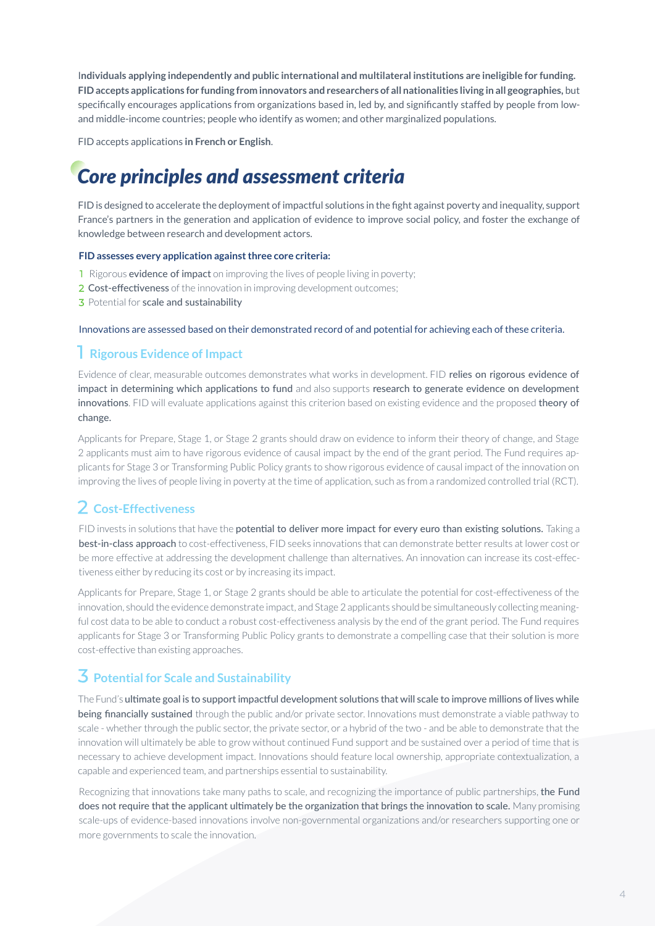I**ndividuals applying independently and public international and multilateral institutions are ineligible for funding. FID accepts applications for funding from innovators and researchers of all nationalities living in all geographies,** but specifically encourages applications from organizations based in, led by, and significantly staffed by people from lowand middle-income countries; people who identify as women; and other marginalized populations.

FID accepts applications **in French or English**.

# *Core principles and assessment criteria*

FID is designed to accelerate the deployment of impactful solutions in the fight against poverty and inequality, support France's partners in the generation and application of evidence to improve social policy, and foster the exchange of knowledge between research and development actors.

#### **FID assesses every application against three core criteria:**

- **1** Rigorous **evidence of impact** on improving the lives of people living in poverty;
- 2 Cost-effectiveness of the innovation in improving development outcomes;
- 3 Potential for scale and sustainability

Innovations are assessed based on their demonstrated record of and potential for achieving each of these criteria.

## **Rigorous Evidence of Impact**

Evidence of clear, measurable outcomes demonstrates what works in development. FID relies on rigorous evidence of impact in determining which applications to fund and also supports research to generate evidence on development innovations. FID will evaluate applications against this criterion based on existing evidence and the proposed theory of change.

Applicants for Prepare, Stage 1, or Stage 2 grants should draw on evidence to inform their theory of change, and Stage 2 applicants must aim to have rigorous evidence of causal impact by the end of the grant period. The Fund requires applicants for Stage 3 or Transforming Public Policy grants to show rigorous evidence of causal impact of the innovation on improving the lives of people living in poverty at the time of application, such as from a randomized controlled trial (RCT).

# **Cost-Effectiveness**

FID invests in solutions that have the potential to deliver more impact for every euro than existing solutions. Taking a best-in-class approach to cost-effectiveness. FID seeks innovations that can demonstrate better results at lower cost or be more effective at addressing the development challenge than alternatives. An innovation can increase its cost-effectiveness either by reducing its cost or by increasing its impact.

Applicants for Prepare, Stage 1, or Stage 2 grants should be able to articulate the potential for cost-effectiveness of the innovation, should the evidence demonstrate impact, and Stage 2 applicants should be simultaneously collecting meaningful cost data to be able to conduct a robust cost-effectiveness analysis by the end of the grant period. The Fund requires applicants for Stage 3 or Transforming Public Policy grants to demonstrate a compelling case that their solution is more cost-effective than existing approaches.

# **Potential for Scale and Sustainability**

The Fund's ultimate goal is to support impactful development solutions that will scale to improve millions of lives while being financially sustained through the public and/or private sector. Innovations must demonstrate a viable pathway to scale - whether through the public sector, the private sector, or a hybrid of the two - and be able to demonstrate that the innovation will ultimately be able to grow without continued Fund support and be sustained over a period of time that is necessary to achieve development impact. Innovations should feature local ownership, appropriate contextualization, a capable and experienced team, and partnerships essential to sustainability.

Recognizing that innovations take many paths to scale, and recognizing the importance of public partnerships, the Fund does not require that the applicant ultimately be the organization that brings the innovation to scale. Many promising scale-ups of evidence-based innovations involve non-governmental organizations and/or researchers supporting one or more governments to scale the innovation.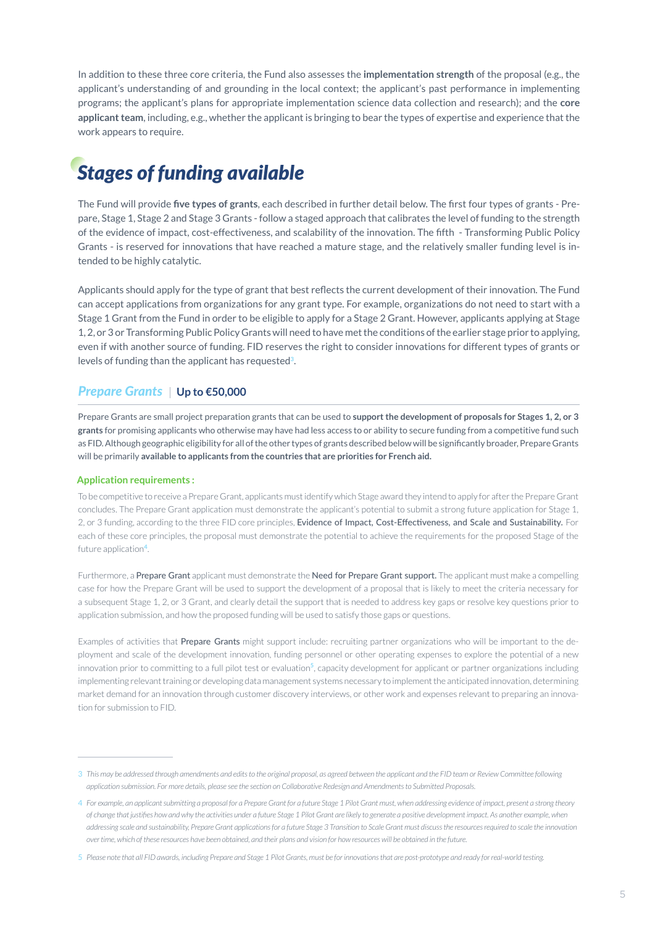In addition to these three core criteria, the Fund also assesses the **implementation strength** of the proposal (e.g., the applicant's understanding of and grounding in the local context; the applicant's past performance in implementing programs; the applicant's plans for appropriate implementation science data collection and research); and the **core applicant team**, including, e.g., whether the applicant is bringing to bear the types of expertise and experience that the work appears to require.

# *Stages of funding available*

The Fund will provide **five types of grants**, each described in further detail below. The first four types of grants - Prepare, Stage 1, Stage 2 and Stage 3 Grants - follow a staged approach that calibrates the level of funding to the strength of the evidence of impact, cost-effectiveness, and scalability of the innovation. The fifth - Transforming Public Policy Grants - is reserved for innovations that have reached a mature stage, and the relatively smaller funding level is intended to be highly catalytic.

Applicants should apply for the type of grant that best reflects the current development of their innovation. The Fund can accept applications from organizations for any grant type. For example, organizations do not need to start with a Stage 1 Grant from the Fund in order to be eligible to apply for a Stage 2 Grant. However, applicants applying at Stage 1, 2, or 3 or Transforming Public Policy Grants will need to have met the conditions of the earlier stage prior to applying, even if with another source of funding. FID reserves the right to consider innovations for different types of grants or levels of funding than the applicant has requested**3**.

#### **Prepare Grants ∪p to €50,000**

Prepare Grants are small project preparation grants that can be used to **support the development of proposals for Stages 1, 2, or 3 grants** for promising applicants who otherwise may have had less access to or ability to secure funding from a competitive fund such as FID. Although geographic eligibility for all of the other types of grants described below will be significantly broader, Prepare Grants will be primarily **available to applicants from the countries that are priorities for French aid.**

#### **Application requirements :**

To be competitive to receive a Prepare Grant, applicants must identify which Stage award they intend to apply for after the Prepare Grant concludes. The Prepare Grant application must demonstrate the applicant's potential to submit a strong future application for Stage 1, 2, or 3 funding, according to the three FID core principles, Evidence of Impact, Cost-Effectiveness, and Scale and Sustainability. For each of these core principles, the proposal must demonstrate the potential to achieve the requirements for the proposed Stage of the future application**<sup>4</sup>**.

Furthermore, a Prepare Grant applicant must demonstrate the Need for Prepare Grant support. The applicant must make a compelling case for how the Prepare Grant will be used to support the development of a proposal that is likely to meet the criteria necessary for a subsequent Stage 1, 2, or 3 Grant, and clearly detail the support that is needed to address key gaps or resolve key questions prior to application submission, and how the proposed funding will be used to satisfy those gaps or questions.

Examples of activities that Prepare Grants might support include: recruiting partner organizations who will be important to the deployment and scale of the development innovation, funding personnel or other operating expenses to explore the potential of a new innovation prior to committing to a full pilot test or evaluation**<sup>5</sup>**, capacity development for applicant or partner organizations including implementing relevant training or developing data management systems necessary to implement the anticipated innovation, determining market demand for an innovation through customer discovery interviews, or other work and expenses relevant to preparing an innovation for submission to FID.

<sup>3</sup> This may be addressed through amendments and edits to the original proposal, as agreed between the applicant and the FID team or Review Committee following *application submission. For more details, please see the section on Collaborative Redesign and Amendments to Submitted Proposals.*

*For example, an applicant submitting a proposal for a Prepare Grant for a future Stage 1 Pilot Grant must, when addressing evidence of impact, present a strong theory*  4 *of change that justifies how and why the activities under a future Stage 1 Pilot Grant are likely to generate a positive development impact. As another example, when addressing scale and sustainability, Prepare Grant applications for a future Stage 3 Transition to Scale Grant must discuss the resources required to scale the innovation over time, which of these resources have been obtained, and their plans and vision for how resources will be obtained in the future.*

*Please note that all FID awards, including Prepare and Stage 1 Pilot Grants, must be for innovations that are post-prototype and ready for real-world testing.* 5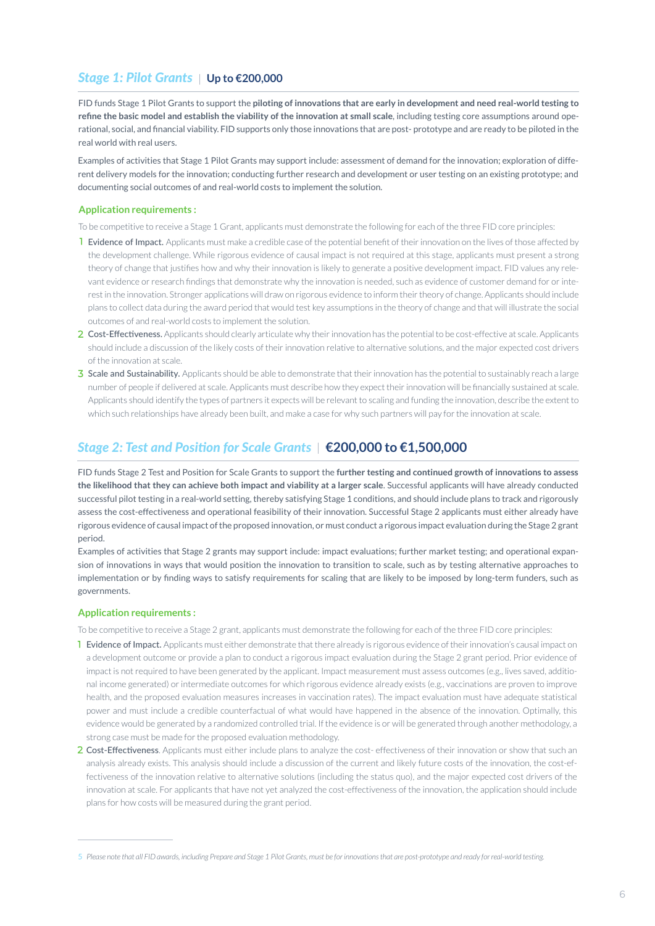## *Stage 1: Pilot Grants | Up to €200,000*

FID funds Stage 1 Pilot Grants to support the **piloting of innovations that are early in development and need real-world testing to refine the basic model and establish the viability of the innovation at small scale**, including testing core assumptions around operational, social, and financial viability. FID supports only those innovations that are post- prototype and are ready to be piloted in the real world with real users.

Examples of activities that Stage 1 Pilot Grants may support include: assessment of demand for the innovation; exploration of different delivery models for the innovation; conducting further research and development or user testing on an existing prototype; and documenting social outcomes of and real-world costs to implement the solution.

#### **Application requirements :**

To be competitive to receive a Stage 1 Grant, applicants must demonstrate the following for each of the three FID core principles:

- **I** Evidence of Impact. Applicants must make a credible case of the potential benefit of their innovation on the lives of those affected by the development challenge. While rigorous evidence of causal impact is not required at this stage, applicants must present a strong theory of change that justifies how and why their innovation is likely to generate a positive development impact. FID values any relevant evidence or research findings that demonstrate why the innovation is needed, such as evidence of customer demand for or interest in the innovation. Stronger applications will draw on rigorous evidence to inform their theory of change. Applicants should include plans to collect data during the award period that would test key assumptions in the theory of change and that will illustrate the social outcomes of and real-world costs to implement the solution.
- 2 Cost-Effectiveness. Applicants should clearly articulate why their innovation has the potential to be cost-effective at scale. Applicants should include a discussion of the likely costs of their innovation relative to alternative solutions, and the major expected cost drivers of the innovation at scale.
- 3 Scale and Sustainability. Applicants should be able to demonstrate that their innovation has the potential to sustainably reach a large number of people if delivered at scale. Applicants must describe how they expect their innovation will be financially sustained at scale. Applicants should identify the types of partners it expects will be relevant to scaling and funding the innovation, describe the extent to which such relationships have already been built, and make a case for why such partners will pay for the innovation at scale.

## *Stage 2: Test and Position for Scale Grants* **€200,000 to €1,500,000**

FID funds Stage 2 Test and Position for Scale Grants to support the **further testing and continued growth of innovations to assess the likelihood that they can achieve both impact and viability at a larger scale**. Successful applicants will have already conducted successful pilot testing in a real-world setting, thereby satisfying Stage 1 conditions, and should include plans to track and rigorously assess the cost-effectiveness and operational feasibility of their innovation. Successful Stage 2 applicants must either already have rigorous evidence of causal impact of the proposed innovation, or must conduct a rigorous impact evaluation during the Stage 2 grant period.

Examples of activities that Stage 2 grants may support include: impact evaluations; further market testing; and operational expansion of innovations in ways that would position the innovation to transition to scale, such as by testing alternative approaches to implementation or by finding ways to satisfy requirements for scaling that are likely to be imposed by long-term funders, such as governments.

#### **Application requirements :**

To be competitive to receive a Stage 2 grant, applicants must demonstrate the following for each of the three FID core principles:

- 1 Evidence of Impact. Applicants must either demonstrate that there already is rigorous evidence of their innovation's causal impact on a development outcome or provide a plan to conduct a rigorous impact evaluation during the Stage 2 grant period. Prior evidence of impact is not required to have been generated by the applicant. Impact measurement must assess outcomes (e.g., lives saved, additional income generated) or intermediate outcomes for which rigorous evidence already exists (e.g., vaccinations are proven to improve health, and the proposed evaluation measures increases in vaccination rates). The impact evaluation must have adequate statistical power and must include a credible counterfactual of what would have happened in the absence of the innovation. Optimally, this evidence would be generated by a randomized controlled trial. If the evidence is or will be generated through another methodology, a strong case must be made for the proposed evaluation methodology.
- 2 Cost-Effectiveness. Applicants must either include plans to analyze the cost-effectiveness of their innovation or show that such an analysis already exists. This analysis should include a discussion of the current and likely future costs of the innovation, the cost-effectiveness of the innovation relative to alternative solutions (including the status quo), and the major expected cost drivers of the innovation at scale. For applicants that have not yet analyzed the cost-effectiveness of the innovation, the application should include plans for how costs will be measured during the grant period.

<sup>5</sup> *Please note that all FID awards, including Prepare and Stage 1 Pilot Grants, must be for innovations that are post-prototype and ready for real-world testing.*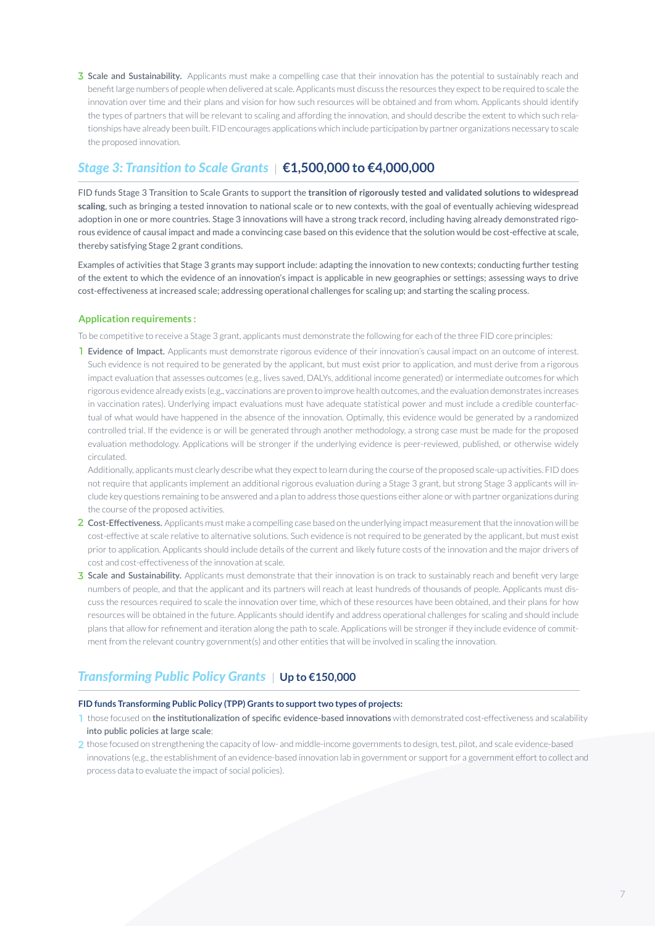Scale and Sustainability. Applicants must make a compelling case that their innovation has the potential to sustainably reach and benefit large numbers of people when delivered at scale. Applicants must discuss the resources they expect to be required to scale the innovation over time and their plans and vision for how such resources will be obtained and from whom. Applicants should identify the types of partners that will be relevant to scaling and affording the innovation, and should describe the extent to which such relationships have already been built. FID encourages applications which include participation by partner organizations necessary to scale the proposed innovation.

## *Stage 3: Transition to Scale Grants* **€1,500,000 to €4,000,000**

FID funds Stage 3 Transition to Scale Grants to support the **transition of rigorously tested and validated solutions to widespread scaling**, such as bringing a tested innovation to national scale or to new contexts, with the goal of eventually achieving widespread adoption in one or more countries. Stage 3 innovations will have a strong track record, including having already demonstrated rigorous evidence of causal impact and made a convincing case based on this evidence that the solution would be cost-effective at scale, thereby satisfying Stage 2 grant conditions.

Examples of activities that Stage 3 grants may support include: adapting the innovation to new contexts; conducting further testing of the extent to which the evidence of an innovation's impact is applicable in new geographies or settings; assessing ways to drive cost-effectiveness at increased scale; addressing operational challenges for scaling up; and starting the scaling process.

#### **Application requirements :**

To be competitive to receive a Stage 3 grant, applicants must demonstrate the following for each of the three FID core principles:

**I Evidence of Impact.** Applicants must demonstrate rigorous evidence of their innovation's causal impact on an outcome of interest. Such evidence is not required to be generated by the applicant, but must exist prior to application, and must derive from a rigorous impact evaluation that assesses outcomes (e.g., lives saved, DALYs, additional income generated) or intermediate outcomes for which rigorous evidence already exists (e.g., vaccinations are proven to improve health outcomes, and the evaluation demonstrates increases in vaccination rates). Underlying impact evaluations must have adequate statistical power and must include a credible counterfactual of what would have happened in the absence of the innovation. Optimally, this evidence would be generated by a randomized controlled trial. If the evidence is or will be generated through another methodology, a strong case must be made for the proposed evaluation methodology. Applications will be stronger if the underlying evidence is peer-reviewed, published, or otherwise widely circulated.

Additionally, applicants must clearly describe what they expect to learn during the course of the proposed scale-up activities. FID does not require that applicants implement an additional rigorous evaluation during a Stage 3 grant, but strong Stage 3 applicants will include key questions remaining to be answered and a plan to address those questions either alone or with partner organizations during the course of the proposed activities.

- 2 Cost-Effectiveness. Applicants must make a compelling case based on the underlying impact measurement that the innovation will be cost-effective at scale relative to alternative solutions. Such evidence is not required to be generated by the applicant, but must exist prior to application. Applicants should include details of the current and likely future costs of the innovation and the major drivers of cost and cost-effectiveness of the innovation at scale.
- 3 Scale and Sustainability. Applicants must demonstrate that their innovation is on track to sustainably reach and benefit very large numbers of people, and that the applicant and its partners will reach at least hundreds of thousands of people. Applicants must discuss the resources required to scale the innovation over time, which of these resources have been obtained, and their plans for how resources will be obtained in the future. Applicants should identify and address operational challenges for scaling and should include plans that allow for refinement and iteration along the path to scale. Applications will be stronger if they include evidence of commitment from the relevant country government(s) and other entities that will be involved in scaling the innovation.

## **Transforming Public Policy Grants**  ↓ Up to €150,000

#### **FID funds Transforming Public Policy (TPP) Grants to support two types of projects:**

- 1 those focused on the institutionalization of specific evidence-based innovations with demonstrated cost-effectiveness and scalability into public policies at large scale;
- 2 those focused on strengthening the capacity of low- and middle-income governments to design, test, pilot, and scale evidence-based innovations (e.g., the establishment of an evidence-based innovation lab in government or support for a government effort to collect and process data to evaluate the impact of social policies).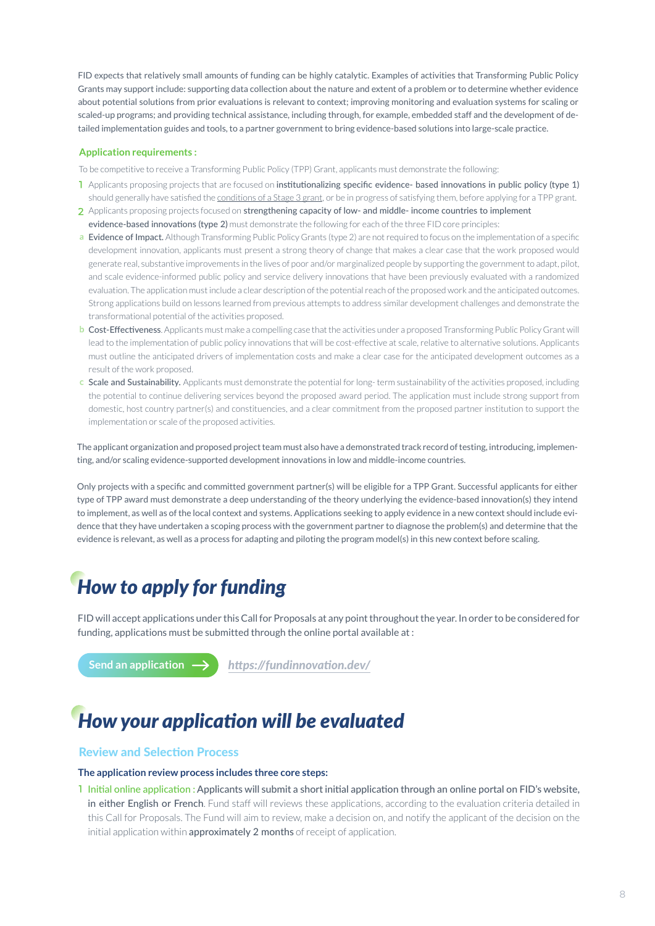FID expects that relatively small amounts of funding can be highly catalytic. Examples of activities that Transforming Public Policy Grants may support include: supporting data collection about the nature and extent of a problem or to determine whether evidence about potential solutions from prior evaluations is relevant to context; improving monitoring and evaluation systems for scaling or scaled-up programs; and providing technical assistance, including through, for example, embedded staff and the development of detailed implementation guides and tools, to a partner government to bring evidence-based solutions into large-scale practice.

#### **Application requirements :**

To be competitive to receive a Transforming Public Policy (TPP) Grant, applicants must demonstrate the following:

- 1 Applicants proposing projects that are focused on institutionalizing specific evidence- based innovations in public policy (type 1) should generally have satisfied the conditions of a Stage 3 grant, or be in progress of satisfying them, before applying for a TPP grant.
- 2 Applicants proposing projects focused on strengthening capacity of low- and middle- income countries to implement evidence-based innovations (type 2) must demonstrate the following for each of the three FID core principles:
- a Evidence of Impact. Although Transforming Public Policy Grants (type 2) are not required to focus on the implementation of a specific development innovation, applicants must present a strong theory of change that makes a clear case that the work proposed would generate real, substantive improvements in the lives of poor and/or marginalized people by supporting the government to adapt, pilot, and scale evidence-informed public policy and service delivery innovations that have been previously evaluated with a randomized evaluation. The application must include a clear description of the potential reach of the proposed work and the anticipated outcomes. Strong applications build on lessons learned from previous attempts to address similar development challenges and demonstrate the transformational potential of the activities proposed.
- Cost-Effectiveness. Applicants must make a compelling case that the activities under a proposed Transforming Public Policy Grant will lead to the implementation of public policy innovations that will be cost-effective at scale, relative to alternative solutions. Applicants must outline the anticipated drivers of implementation costs and make a clear case for the anticipated development outcomes as a result of the work proposed.
- Scale and Sustainability. Applicants must demonstrate the potential for long- term sustainability of the activities proposed, including the potential to continue delivering services beyond the proposed award period. The application must include strong support from domestic, host country partner(s) and constituencies, and a clear commitment from the proposed partner institution to support the implementation or scale of the proposed activities.

The applicant organization and proposed project team must also have a demonstrated track record of testing, introducing, implementing, and/or scaling evidence-supported development innovations in low and middle-income countries.

Only projects with a specific and committed government partner(s) will be eligible for a TPP Grant. Successful applicants for either type of TPP award must demonstrate a deep understanding of the theory underlying the evidence-based innovation(s) they intend to implement, as well as of the local context and systems. Applications seeking to apply evidence in a new context should include evidence that they have undertaken a scoping process with the government partner to diagnose the problem(s) and determine that the evidence is relevant, as well as a process for adapting and piloting the program model(s) in this new context before scaling.

# *How to apply for funding*

FID will accept applications under this Call for Proposals at any point throughout the year. In order to be considered for funding, applications must be submitted through the online portal available at :

**Send an application** *https://fundinnovation.dev/*

# *How your application will be evaluated*

#### Review and Selection Process

#### **The application review process includes three core steps:**

Initial online application : Applicants will submit a short initial application through an online portal on FID's website, in either English or French. Fund staff will reviews these applications, according to the evaluation criteria detailed in this Call for Proposals. The Fund will aim to review, make a decision on, and notify the applicant of the decision on the initial application within approximately 2 months of receipt of application.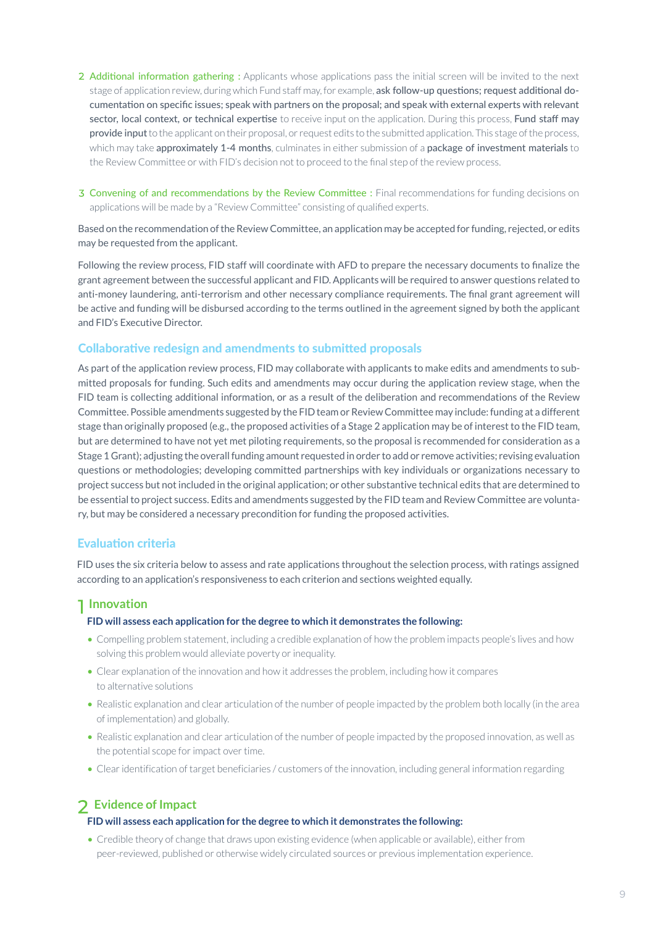2 Additional information gathering : Applicants whose applications pass the initial screen will be invited to the next stage of application review, during which Fund staff may, for example, ask follow-up questions; request additional documentation on specific issues; speak with partners on the proposal; and speak with external experts with relevant sector, local context, or technical expertise to receive input on the application. During this process, Fund staff may provide input to the applicant on their proposal, or request edits to the submitted application. This stage of the process, which may take approximately 1-4 months, culminates in either submission of a package of investment materials to the Review Committee or with FID's decision not to proceed to the final step of the review process.

3 Convening of and recommendations by the Review Committee : Final recommendations for funding decisions on applications will be made by a "Review Committee" consisting of qualified experts.

Based on the recommendation of the Review Committee, an application may be accepted for funding, rejected, or edits may be requested from the applicant.

Following the review process, FID staff will coordinate with AFD to prepare the necessary documents to finalize the grant agreement between the successful applicant and FID. Applicants will be required to answer questions related to anti-money laundering, anti-terrorism and other necessary compliance requirements. The final grant agreement will be active and funding will be disbursed according to the terms outlined in the agreement signed by both the applicant and FID's Executive Director.

#### Collaborative redesign and amendments to submitted proposals

As part of the application review process, FID may collaborate with applicants to make edits and amendments to submitted proposals for funding. Such edits and amendments may occur during the application review stage, when the FID team is collecting additional information, or as a result of the deliberation and recommendations of the Review Committee. Possible amendments suggested by the FID team or Review Committee may include: funding at a different stage than originally proposed (e.g., the proposed activities of a Stage 2 application may be of interest to the FID team, but are determined to have not yet met piloting requirements, so the proposal is recommended for consideration as a Stage 1 Grant); adjusting the overall funding amount requested in order to add or remove activities; revising evaluation questions or methodologies; developing committed partnerships with key individuals or organizations necessary to project success but not included in the original application; or other substantive technical edits that are determined to be essential to project success. Edits and amendments suggested by the FID team and Review Committee are voluntary, but may be considered a necessary precondition for funding the proposed activities.

#### Evaluation criteria

FID uses the six criteria below to assess and rate applications throughout the selection process, with ratings assigned according to an application's responsiveness to each criterion and sections weighted equally.

## **Innovation**

#### **FID will assess each application for the degree to which it demonstrates the following:**

- Compelling problem statement, including a credible explanation of how the problem impacts people's lives and how solving this problem would alleviate poverty or inequality.
- Clear explanation of the innovation and how it addresses the problem, including how it compares to alternative solutions
- Realistic explanation and clear articulation of the number of people impacted by the problem both locally (in the area of implementation) and globally.
- Realistic explanation and clear articulation of the number of people impacted by the proposed innovation, as well as the potential scope for impact over time.
- Clear identification of target beneficiaries / customers of the innovation, including general information regarding

## **Evidence of Impact**

#### **FID will assess each application for the degree to which it demonstrates the following:**

• Credible theory of change that draws upon existing evidence (when applicable or available), either from peer-reviewed, published or otherwise widely circulated sources or previous implementation experience.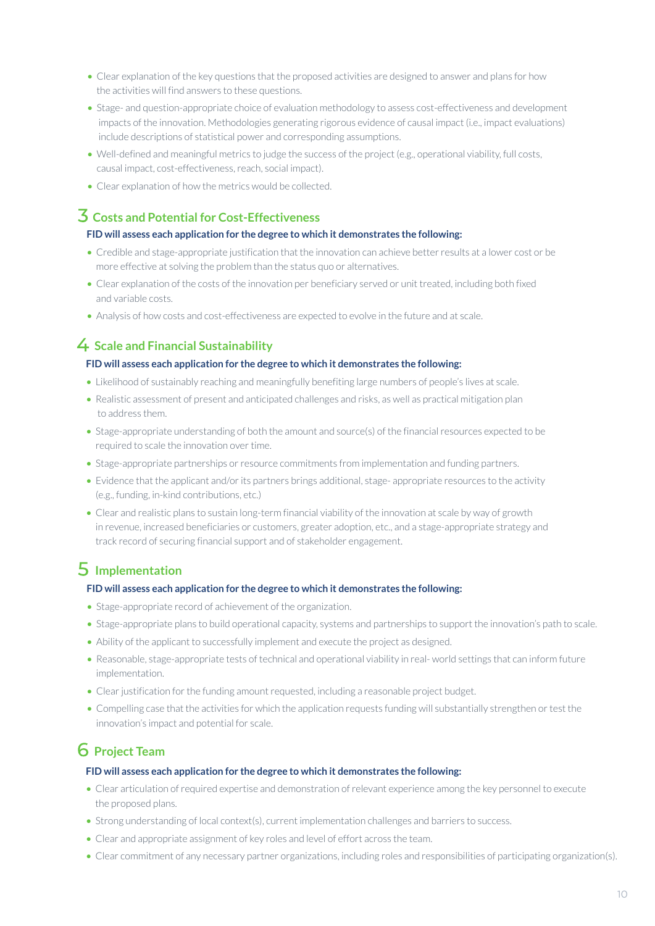- Clear explanation of the key questions that the proposed activities are designed to answer and plans for how the activities will find answers to these questions.
- Stage- and question-appropriate choice of evaluation methodology to assess cost-effectiveness and development impacts of the innovation. Methodologies generating rigorous evidence of causal impact (i.e., impact evaluations) include descriptions of statistical power and corresponding assumptions.
- Well-defined and meaningful metrics to judge the success of the project (e.g., operational viability, full costs, causal impact, cost-effectiveness, reach, social impact).
- Clear explanation of how the metrics would be collected.

## **Costs and Potential for Cost-Effectiveness**

#### **FID will assess each application for the degree to which it demonstrates the following:**

- Credible and stage-appropriate justification that the innovation can achieve better results at a lower cost or be more effective at solving the problem than the status quo or alternatives.
- Clear explanation of the costs of the innovation per beneficiary served or unit treated, including both fixed and variable costs.
- Analysis of how costs and cost-effectiveness are expected to evolve in the future and at scale.

## **Scale and Financial Sustainability**

#### **FID will assess each application for the degree to which it demonstrates the following:**

- Likelihood of sustainably reaching and meaningfully benefiting large numbers of people's lives at scale.
- Realistic assessment of present and anticipated challenges and risks, as well as practical mitigation plan to address them.
- Stage-appropriate understanding of both the amount and source(s) of the financial resources expected to be required to scale the innovation over time.
- Stage-appropriate partnerships or resource commitments from implementation and funding partners.
- Evidence that the applicant and/or its partners brings additional, stage- appropriate resources to the activity (e.g., funding, in-kind contributions, etc.)
- Clear and realistic plans to sustain long-term financial viability of the innovation at scale by way of growth in revenue, increased beneficiaries or customers, greater adoption, etc., and a stage-appropriate strategy and track record of securing financial support and of stakeholder engagement.

# **Implementation**

#### **FID will assess each application for the degree to which it demonstrates the following:**

- Stage-appropriate record of achievement of the organization.
- Stage-appropriate plans to build operational capacity, systems and partnerships to support the innovation's path to scale.
- Ability of the applicant to successfully implement and execute the project as designed.
- Reasonable, stage-appropriate tests of technical and operational viability in real- world settings that can inform future implementation.
- Clear justification for the funding amount requested, including a reasonable project budget.
- Compelling case that the activities for which the application requests funding will substantially strengthen or test the innovation's impact and potential for scale.

# **Project Team**

#### **FID will assess each application for the degree to which it demonstrates the following:**

- Clear articulation of required expertise and demonstration of relevant experience among the key personnel to execute the proposed plans.
- Strong understanding of local context(s), current implementation challenges and barriers to success.
- Clear and appropriate assignment of key roles and level of effort across the team.
- Clear commitment of any necessary partner organizations, including roles and responsibilities of participating organization(s).